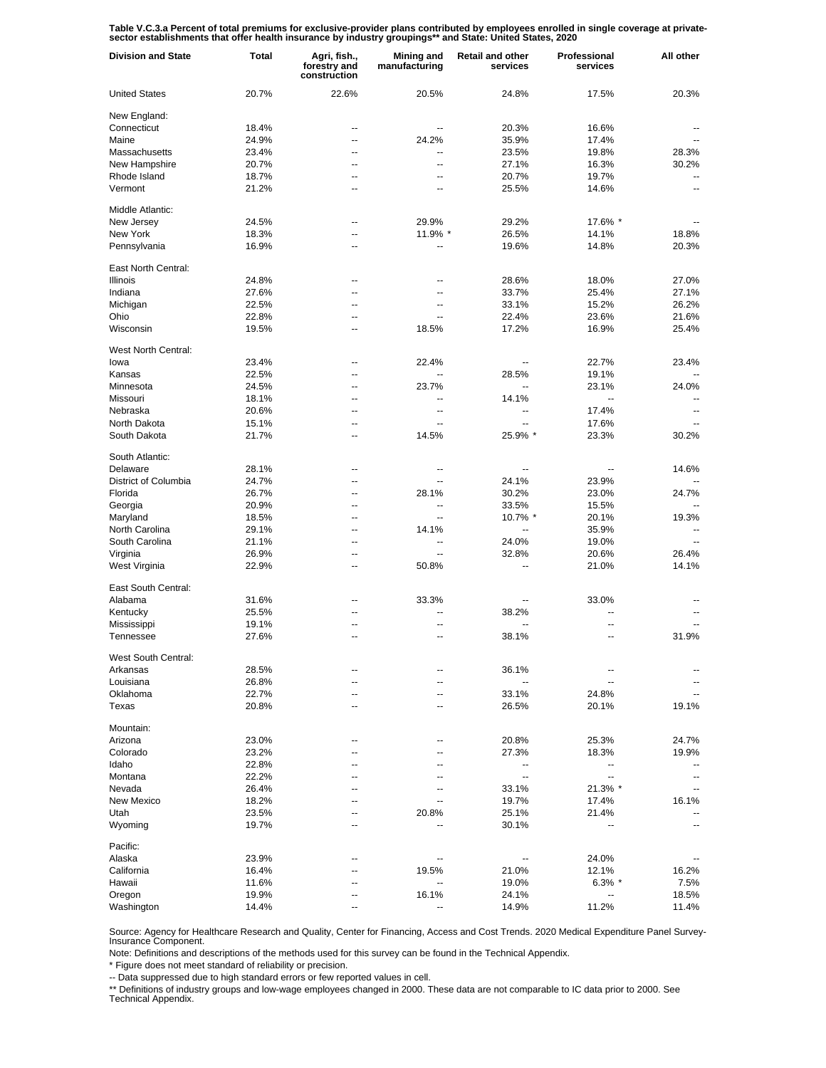Table V.C.3.a Percent of total premiums for exclusive-provider plans contributed by employees enrolled in single coverage at private-<br>sector establishments that offer health insurance by industry groupings\*\* and State: Uni

| <b>Division and State</b> | Total | Agri, fish.,<br>forestry and<br>construction | <b>Mining and</b><br>manufacturing | Retail and other<br>services | Professional<br>services | All other                |
|---------------------------|-------|----------------------------------------------|------------------------------------|------------------------------|--------------------------|--------------------------|
| <b>United States</b>      | 20.7% | 22.6%                                        | 20.5%                              | 24.8%                        | 17.5%                    | 20.3%                    |
| New England:              |       |                                              |                                    |                              |                          |                          |
| Connecticut               | 18.4% | --                                           | --                                 | 20.3%                        | 16.6%                    |                          |
| Maine                     | 24.9% | --                                           | 24.2%                              | 35.9%                        | 17.4%                    |                          |
| Massachusetts             | 23.4% | --                                           | $\overline{a}$                     | 23.5%                        | 19.8%                    | 28.3%                    |
| New Hampshire             | 20.7% | --                                           | $\overline{\phantom{a}}$           | 27.1%                        | 16.3%                    | 30.2%                    |
| Rhode Island              | 18.7% | $\overline{a}$                               | --                                 | 20.7%                        | 19.7%                    | $\overline{\phantom{a}}$ |
| Vermont                   | 21.2% | --                                           | --                                 | 25.5%                        | 14.6%                    | $\overline{\phantom{a}}$ |
| Middle Atlantic:          |       |                                              |                                    |                              |                          |                          |
| New Jersey                | 24.5% | --                                           | 29.9%                              | 29.2%                        | 17.6% *                  |                          |
| New York                  | 18.3% | --                                           | 11.9% *                            | 26.5%                        | 14.1%                    | 18.8%                    |
| Pennsylvania              | 16.9% | --                                           |                                    | 19.6%                        | 14.8%                    | 20.3%                    |
| East North Central:       |       |                                              |                                    |                              |                          |                          |
| Illinois                  | 24.8% | --                                           | --                                 | 28.6%                        | 18.0%                    | 27.0%                    |
| Indiana                   | 27.6% | --                                           | --                                 | 33.7%                        | 25.4%                    | 27.1%                    |
| Michigan                  | 22.5% | --                                           | --                                 | 33.1%                        | 15.2%                    | 26.2%                    |
| Ohio                      | 22.8% | --                                           | --                                 | 22.4%                        | 23.6%                    | 21.6%                    |
| Wisconsin                 | 19.5% | ٠.                                           | 18.5%                              | 17.2%                        | 16.9%                    | 25.4%                    |
| West North Central:       |       |                                              |                                    |                              |                          |                          |
| lowa                      | 23.4% | --                                           | 22.4%                              | $\overline{\phantom{a}}$     | 22.7%                    | 23.4%                    |
| Kansas                    | 22.5% | --                                           | $\overline{a}$                     | 28.5%                        | 19.1%                    |                          |
| Minnesota                 | 24.5% | --                                           | 23.7%                              | $\overline{\phantom{a}}$     | 23.1%                    | 24.0%                    |
|                           |       |                                              | $\overline{\phantom{a}}$           |                              | -−                       |                          |
| Missouri                  | 18.1% | --                                           |                                    | 14.1%                        |                          | --                       |
| Nebraska                  | 20.6% | --                                           | $\overline{\phantom{a}}$           | $\overline{\phantom{a}}$     | 17.4%                    | $\overline{\phantom{a}}$ |
| North Dakota              | 15.1% | --                                           | $\overline{\phantom{a}}$           | $\overline{\phantom{a}}$     | 17.6%                    | $\overline{\phantom{a}}$ |
| South Dakota              | 21.7% | --                                           | 14.5%                              | 25.9% *                      | 23.3%                    | 30.2%                    |
| South Atlantic:           |       |                                              |                                    |                              |                          |                          |
| Delaware                  | 28.1% | --                                           | --                                 | $\overline{\phantom{a}}$     | $\overline{a}$           | 14.6%                    |
| District of Columbia      | 24.7% | Ξ.                                           |                                    | 24.1%                        | 23.9%                    |                          |
| Florida                   | 26.7% | --                                           | 28.1%                              | 30.2%                        | 23.0%                    | 24.7%                    |
| Georgia                   | 20.9% | $\overline{a}$                               | Ξ.                                 | 33.5%                        | 15.5%                    |                          |
| Maryland                  | 18.5% | --                                           | Ξ.                                 | 10.7% *                      | 20.1%                    | 19.3%                    |
| North Carolina            | 29.1% | $\overline{a}$                               | 14.1%                              | Ξ.                           | 35.9%                    |                          |
| South Carolina            | 21.1% | --                                           | $\overline{\phantom{a}}$           | 24.0%                        | 19.0%                    |                          |
| Virginia                  | 26.9% | Ξ.                                           | $\overline{\phantom{a}}$           | 32.8%                        | 20.6%                    | 26.4%                    |
| West Virginia             | 22.9% | --                                           | 50.8%                              | --                           | 21.0%                    | 14.1%                    |
| East South Central:       |       |                                              |                                    |                              |                          |                          |
| Alabama                   | 31.6% | --                                           | 33.3%                              |                              | 33.0%                    |                          |
| Kentucky                  | 25.5% | --                                           |                                    | 38.2%                        |                          |                          |
| Mississippi               | 19.1% | ٠.                                           | --                                 | $\overline{\phantom{a}}$     | --                       |                          |
| Tennessee                 | 27.6% | --                                           | --                                 | 38.1%                        | --                       | 31.9%                    |
| West South Central:       |       |                                              |                                    |                              |                          |                          |
| Arkansas                  | 28.5% |                                              |                                    | 36.1%                        |                          |                          |
| Louisiana                 | 26.8% | --                                           | --                                 |                              | --                       |                          |
| Oklahoma                  | 22.7% | --                                           | --                                 | 33.1%                        | 24.8%                    |                          |
| Texas                     | 20.8% | --                                           | --                                 | 26.5%                        | 20.1%                    | 19.1%                    |
| Mountain:                 |       |                                              |                                    |                              |                          |                          |
| Arizona                   | 23.0% |                                              |                                    | 20.8%                        | 25.3%                    | 24.7%                    |
| Colorado                  | 23.2% | --                                           |                                    | 27.3%                        | 18.3%                    | 19.9%                    |
| Idaho                     | 22.8% |                                              |                                    | $\overline{\phantom{a}}$     | --                       |                          |
| Montana                   | 22.2% | --                                           |                                    | $\overline{\phantom{a}}$     | Щ,                       | $-$                      |
| Nevada                    | 26.4% |                                              |                                    | 33.1%                        | 21.3% *                  |                          |
| New Mexico                | 18.2% |                                              |                                    | 19.7%                        | 17.4%                    | 16.1%                    |
| Utah                      | 23.5% |                                              | 20.8%                              | 25.1%                        | 21.4%                    |                          |
| Wyoming                   | 19.7% |                                              |                                    | 30.1%                        |                          | --                       |
| Pacific:                  |       |                                              |                                    |                              |                          |                          |
| Alaska                    | 23.9% |                                              |                                    |                              | 24.0%                    |                          |
| California                | 16.4% |                                              | 19.5%                              | 21.0%                        | 12.1%                    | 16.2%                    |
| Hawaii                    | 11.6% |                                              | $\overline{\phantom{a}}$           | 19.0%                        | $6.3\%$ *                | 7.5%                     |
| Oregon                    | 19.9% |                                              | 16.1%                              | 24.1%                        | --                       | 18.5%                    |
| Washington                | 14.4% |                                              |                                    | 14.9%                        | 11.2%                    | 11.4%                    |

Source: Agency for Healthcare Research and Quality, Center for Financing, Access and Cost Trends. 2020 Medical Expenditure Panel Survey-Insurance Component.

Note: Definitions and descriptions of the methods used for this survey can be found in the Technical Appendix.<br>\* Figure does not meet standard of reliability or precision.

\* Figure does not meet standard of reliability or precision.

-- Data suppressed due to high standard errors or few reported values in cell.

\*\* Definitions of industry groups and low-wage employees changed in 2000. These data are not comparable to IC data prior to 2000. See Technical Appendix.